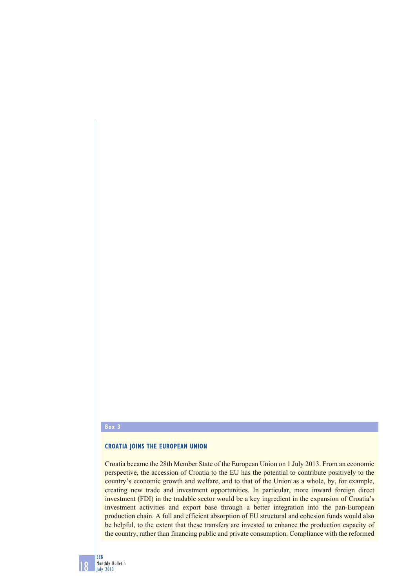#### **Box 3**

# **CROATIA JOINS THE EUROPEAN UNION**

Croatia became the 28th Member State of the European Union on 1 July 2013. From an economic perspective, the accession of Croatia to the EU has the potential to contribute positively to the country's economic growth and welfare, and to that of the Union as a whole, by, for example, creating new trade and investment opportunities. In particular, more inward foreign direct investment (FDI) in the tradable sector would be a key ingredient in the expansion of Croatia's investment activities and export base through a better integration into the pan-European production chain. A full and efficient absorption of EU structural and cohesion funds would also be helpful, to the extent that these transfers are invested to enhance the production capacity of the country, rather than financing public and private consumption. Compliance with the reformed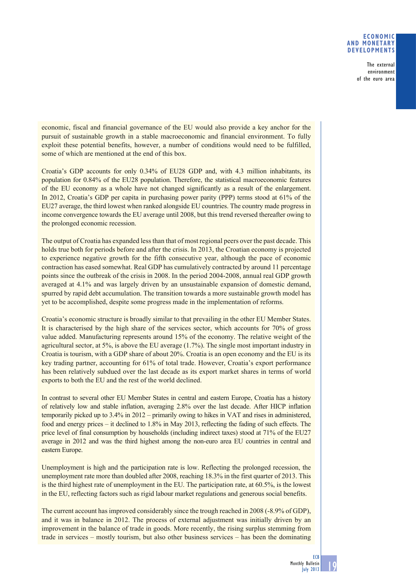### **ECONOMIC AND MONETARY DEVELOPMENTS**

 The external environment of the euro area

economic, fiscal and financial governance of the EU would also provide a key anchor for the pursuit of sustainable growth in a stable macroeconomic and financial environment. To fully exploit these potential benefits, however, a number of conditions would need to be fulfilled, some of which are mentioned at the end of this box.

Croatia's GDP accounts for only 0.34% of EU28 GDP and, with 4.3 million inhabitants, its population for 0.84% of the EU28 population. Therefore, the statistical macroeconomic features of the EU economy as a whole have not changed significantly as a result of the enlargement. In 2012, Croatia's GDP per capita in purchasing power parity (PPP) terms stood at 61% of the EU27 average, the third lowest when ranked alongside EU countries. The country made progress in income convergence towards the EU average until 2008, but this trend reversed thereafter owing to the prolonged economic recession.

The output of Croatia has expanded less than that of most regional peers over the past decade. This holds true both for periods before and after the crisis. In 2013, the Croatian economy is projected to experience negative growth for the fifth consecutive year, although the pace of economic contraction has eased somewhat. Real GDP has cumulatively contracted by around 11 percentage points since the outbreak of the crisis in 2008. In the period 2004-2008, annual real GDP growth averaged at 4.1% and was largely driven by an unsustainable expansion of domestic demand, spurred by rapid debt accumulation. The transition towards a more sustainable growth model has yet to be accomplished, despite some progress made in the implementation of reforms.

Croatia's economic structure is broadly similar to that prevailing in the other EU Member States. It is characterised by the high share of the services sector, which accounts for 70% of gross value added. Manufacturing represents around 15% of the economy. The relative weight of the agricultural sector, at 5%, is above the EU average (1.7%). The single most important industry in Croatia is tourism, with a GDP share of about 20%. Croatia is an open economy and the EU is its key trading partner, accounting for 61% of total trade. However, Croatia's export performance has been relatively subdued over the last decade as its export market shares in terms of world exports to both the EU and the rest of the world declined.

In contrast to several other EU Member States in central and eastern Europe, Croatia has a history of relatively low and stable inflation, averaging 2.8% over the last decade. After HICP inflation temporarily picked up to 3.4% in 2012 – primarily owing to hikes in VAT and rises in administered, food and energy prices – it declined to 1.8% in May 2013, reflecting the fading of such effects. The price level of final consumption by households (including indirect taxes) stood at 71% of the EU27 average in 2012 and was the third highest among the non-euro area EU countries in central and eastern Europe.

Unemployment is high and the participation rate is low. Reflecting the prolonged recession, the unemployment rate more than doubled after 2008, reaching 18.3% in the first quarter of 2013. This is the third highest rate of unemployment in the EU. The participation rate, at 60.5%, is the lowest in the EU, reflecting factors such as rigid labour market regulations and generous social benefits.

The current account has improved considerably since the trough reached in 2008 (-8.9% of GDP), and it was in balance in 2012. The process of external adjustment was initially driven by an improvement in the balance of trade in goods. More recently, the rising surplus stemming from trade in services – mostly tourism, but also other business services – has been the dominating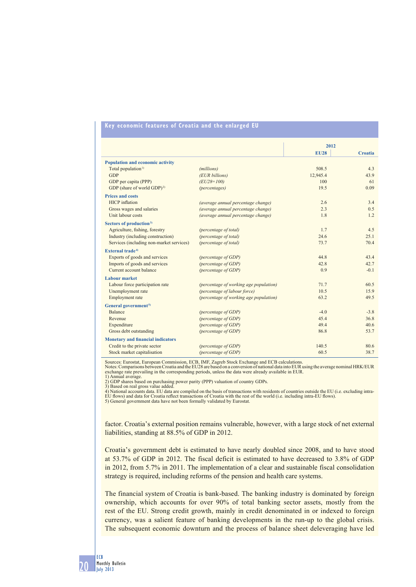## **Key economic features of Croatia and the enlarged EU**

|                                          |                                        |             | 2012           |  |
|------------------------------------------|----------------------------------------|-------------|----------------|--|
|                                          |                                        | <b>EU28</b> | <b>Croatia</b> |  |
| <b>Population and economic activity</b>  |                                        |             |                |  |
| Total population <sup>1)</sup>           | (millions)                             | 508.5       | 43             |  |
| <b>GDP</b>                               | (EUR billions)                         | 12.945.4    | 43.9           |  |
| GDP per capita (PPP)                     | $(EU28=100)$                           | 100         | 61             |  |
| GDP (share of world GDP) <sup>2)</sup>   | (percentages)                          | 19.5        | 0.09           |  |
| <b>Prices and costs</b>                  |                                        |             |                |  |
| <b>HICP</b> inflation                    | (average annual percentage change)     | 2.6         | 3.4            |  |
| Gross wages and salaries                 | (average annual percentage change)     | 2.3         | 0.5            |  |
| Unit labour costs                        | (average annual percentage change)     | 1.8         | 1.2            |  |
| Sectors of production <sup>3)</sup>      |                                        |             |                |  |
| Agriculture, fishing, forestry           | (percentage of total)                  | 1.7         | 4.5            |  |
| Industry (including construction)        | (percentage of total)                  | 24.6        | 25.1           |  |
| Services (including non-market services) | (percentage of total)                  | 73.7        | 70.4           |  |
| External trade <sup>4)</sup>             |                                        |             |                |  |
| Exports of goods and services            | (percentage of GDP)                    | 44.8        | 43.4           |  |
| Imports of goods and services            | (percentage of GDP)                    | 42.8        | 42.7           |  |
| Current account balance                  | (percentage of GDP)                    | 0.9         | $-0.1$         |  |
| <b>Labour market</b>                     |                                        |             |                |  |
| Labour force participation rate          | (percentage of working age population) | 71.7        | 60.5           |  |
| Unemployment rate                        | (percentage of labour force)           | 10.5        | 15.9           |  |
| Employment rate                          | (percentage of working age population) | 63.2        | 49.5           |  |
| General government <sup>5)</sup>         |                                        |             |                |  |
| <b>Balance</b>                           | (percentage of GDP)                    | $-4.0$      | $-3.8$         |  |
| Revenue                                  | (percentage of GDP)                    | 45.4        | 36.8           |  |
| Expenditure                              | (percentage of GDP)                    | 49.4        | 40.6           |  |
| Gross debt outstanding                   | (percentage of GDP)                    | 86.8        | 53.7           |  |
| <b>Monetary and financial indicators</b> |                                        |             |                |  |
| Credit to the private sector             | (percentage of GDP)                    | 140.5       | 80.6           |  |
| Stock market capitalisation              | (percentage of GDP)                    | 60.5        | 38.7           |  |

Sources: Eurostat, European Commission, ECB, IMF, Zagreb Stock Exchange and ECB calculations.

Notes: Comparisons between Croatia and the EU28 are based on a conversion of national data into EUR using the average nominal HRK/EUR<br>exchange rate prevailing in the corresponding periods, unless the data were already avai 1) Annual average. 2) GDP shares based on purchasing power parity (PPP) valuation of country GDPs.

3) Based on real gross value added. 4) National accounts data. EU data are compiled on the basis of transactions with residents of countries outside the EU (i.e. excluding intra-

EU flows) and data for Croatia reflect transactions of Croatia with the rest of the world (i.e. including intra-EU flows).<br>5) General government data have not been formally validated by Eurostat.

factor. Croatia's external position remains vulnerable, however, with a large stock of net external liabilities, standing at 88.5% of GDP in 2012.

Croatia's government debt is estimated to have nearly doubled since 2008, and to have stood at 53.7% of GDP in 2012. The fiscal deficit is estimated to have decreased to 3.8% of GDP in 2012, from 5.7% in 2011. The implementation of a clear and sustainable fiscal consolidation strategy is required, including reforms of the pension and health care systems.

The financial system of Croatia is bank-based. The banking industry is dominated by foreign ownership, which accounts for over 90% of total banking sector assets, mostly from the rest of the EU. Strong credit growth, mainly in credit denominated in or indexed to foreign currency, was a salient feature of banking developments in the run-up to the global crisis. The subsequent economic downturn and the process of balance sheet deleveraging have led